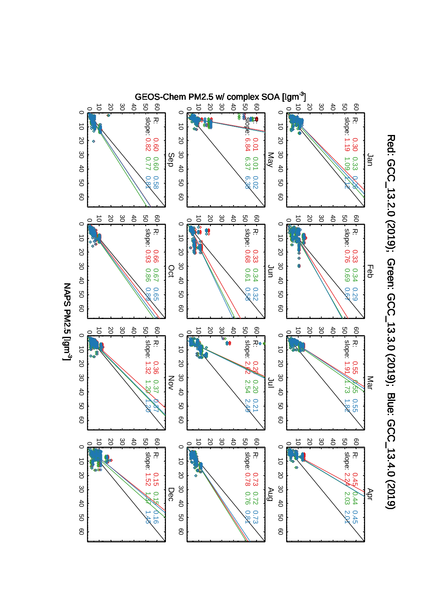

Red: GCC\_13.2.0 (2019); Green: GCC\_13.3.0 (2019); Blue: GCC\_13.4.0 (2019) Red: GCC\_13.2.0 (2019); Green: GCC\_13.3.0 (2019); Blue: GCC\_13.4.0 (2019)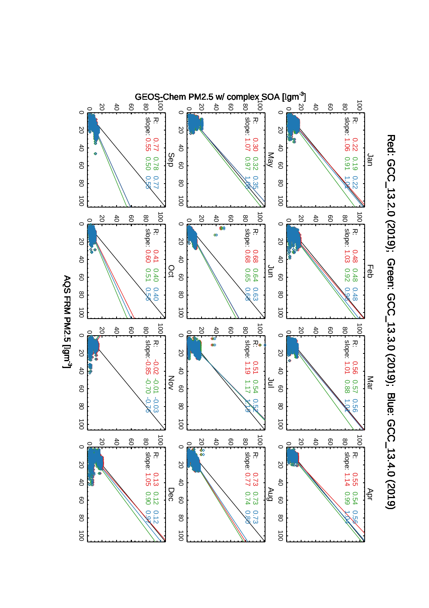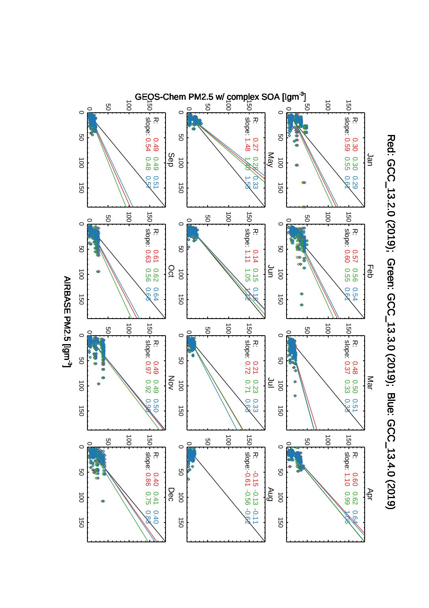

Red: GCC\_13.2.0 (2019); Green: GCC\_13.3.0 (2019); Blue: GCC\_13.4.0 (2019) Red: GCC\_13.2.0 (2019); Green: GCC\_13.3.0 (2019); Blue: GCC\_13.4.0 (2019)